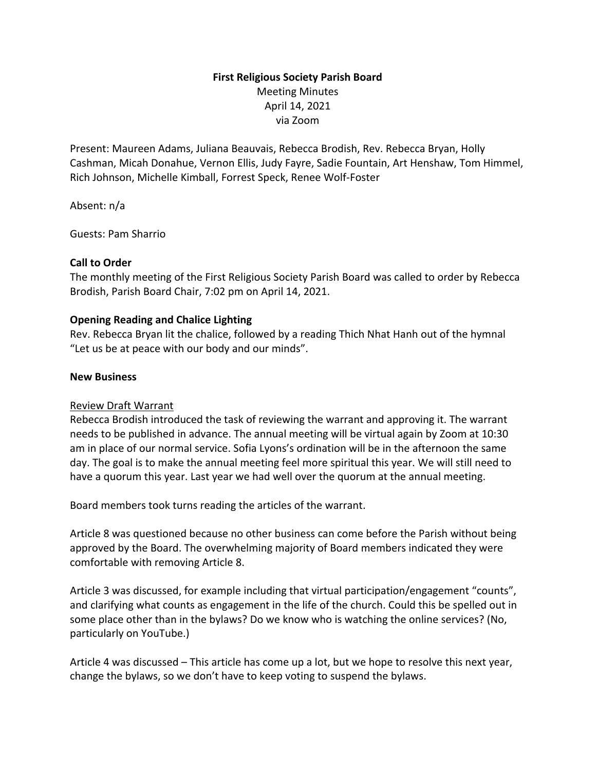# **First Religious Society Parish Board** Meeting Minutes April 14, 2021 via Zoom

Present: Maureen Adams, Juliana Beauvais, Rebecca Brodish, Rev. Rebecca Bryan, Holly Cashman, Micah Donahue, Vernon Ellis, Judy Fayre, Sadie Fountain, Art Henshaw, Tom Himmel, Rich Johnson, Michelle Kimball, Forrest Speck, Renee Wolf-Foster

Absent: n/a

Guests: Pam Sharrio

## **Call to Order**

The monthly meeting of the First Religious Society Parish Board was called to order by Rebecca Brodish, Parish Board Chair, 7:02 pm on April 14, 2021.

## **Opening Reading and Chalice Lighting**

Rev. Rebecca Bryan lit the chalice, followed by a reading Thich Nhat Hanh out of the hymnal "Let us be at peace with our body and our minds".

### **New Business**

### Review Draft Warrant

Rebecca Brodish introduced the task of reviewing the warrant and approving it. The warrant needs to be published in advance. The annual meeting will be virtual again by Zoom at 10:30 am in place of our normal service. Sofia Lyons's ordination will be in the afternoon the same day. The goal is to make the annual meeting feel more spiritual this year. We will still need to have a quorum this year. Last year we had well over the quorum at the annual meeting.

Board members took turns reading the articles of the warrant.

Article 8 was questioned because no other business can come before the Parish without being approved by the Board. The overwhelming majority of Board members indicated they were comfortable with removing Article 8.

Article 3 was discussed, for example including that virtual participation/engagement "counts", and clarifying what counts as engagement in the life of the church. Could this be spelled out in some place other than in the bylaws? Do we know who is watching the online services? (No, particularly on YouTube.)

Article 4 was discussed – This article has come up a lot, but we hope to resolve this next year, change the bylaws, so we don't have to keep voting to suspend the bylaws.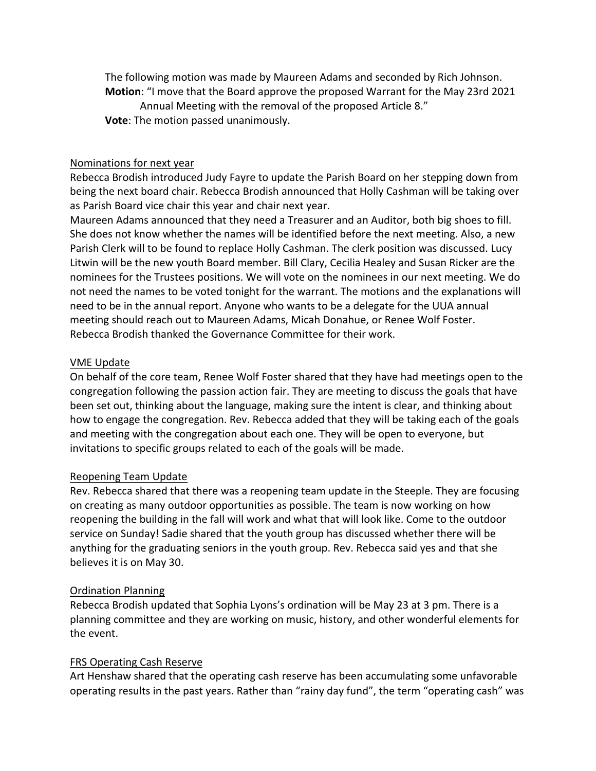The following motion was made by Maureen Adams and seconded by Rich Johnson. **Motion**: "I move that the Board approve the proposed Warrant for the May 23rd 2021 Annual Meeting with the removal of the proposed Article 8." **Vote**: The motion passed unanimously.

#### Nominations for next year

Rebecca Brodish introduced Judy Fayre to update the Parish Board on her stepping down from being the next board chair. Rebecca Brodish announced that Holly Cashman will be taking over as Parish Board vice chair this year and chair next year.

Maureen Adams announced that they need a Treasurer and an Auditor, both big shoes to fill. She does not know whether the names will be identified before the next meeting. Also, a new Parish Clerk will to be found to replace Holly Cashman. The clerk position was discussed. Lucy Litwin will be the new youth Board member. Bill Clary, Cecilia Healey and Susan Ricker are the nominees for the Trustees positions. We will vote on the nominees in our next meeting. We do not need the names to be voted tonight for the warrant. The motions and the explanations will need to be in the annual report. Anyone who wants to be a delegate for the UUA annual meeting should reach out to Maureen Adams, Micah Donahue, or Renee Wolf Foster. Rebecca Brodish thanked the Governance Committee for their work.

#### VME Update

On behalf of the core team, Renee Wolf Foster shared that they have had meetings open to the congregation following the passion action fair. They are meeting to discuss the goals that have been set out, thinking about the language, making sure the intent is clear, and thinking about how to engage the congregation. Rev. Rebecca added that they will be taking each of the goals and meeting with the congregation about each one. They will be open to everyone, but invitations to specific groups related to each of the goals will be made.

#### Reopening Team Update

Rev. Rebecca shared that there was a reopening team update in the Steeple. They are focusing on creating as many outdoor opportunities as possible. The team is now working on how reopening the building in the fall will work and what that will look like. Come to the outdoor service on Sunday! Sadie shared that the youth group has discussed whether there will be anything for the graduating seniors in the youth group. Rev. Rebecca said yes and that she believes it is on May 30.

#### Ordination Planning

Rebecca Brodish updated that Sophia Lyons's ordination will be May 23 at 3 pm. There is a planning committee and they are working on music, history, and other wonderful elements for the event.

#### FRS Operating Cash Reserve

Art Henshaw shared that the operating cash reserve has been accumulating some unfavorable operating results in the past years. Rather than "rainy day fund", the term "operating cash" was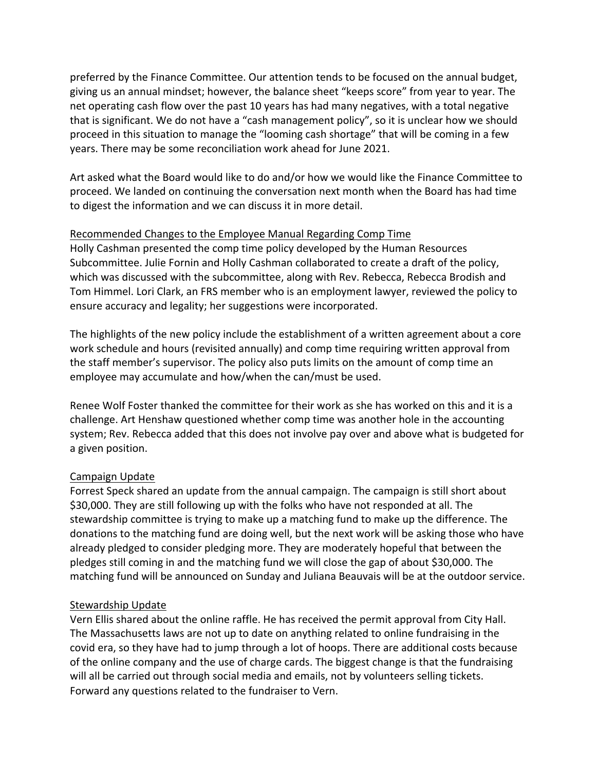preferred by the Finance Committee. Our attention tends to be focused on the annual budget, giving us an annual mindset; however, the balance sheet "keeps score" from year to year. The net operating cash flow over the past 10 years has had many negatives, with a total negative that is significant. We do not have a "cash management policy", so it is unclear how we should proceed in this situation to manage the "looming cash shortage" that will be coming in a few years. There may be some reconciliation work ahead for June 2021.

Art asked what the Board would like to do and/or how we would like the Finance Committee to proceed. We landed on continuing the conversation next month when the Board has had time to digest the information and we can discuss it in more detail.

### Recommended Changes to the Employee Manual Regarding Comp Time

Holly Cashman presented the comp time policy developed by the Human Resources Subcommittee. Julie Fornin and Holly Cashman collaborated to create a draft of the policy, which was discussed with the subcommittee, along with Rev. Rebecca, Rebecca Brodish and Tom Himmel. Lori Clark, an FRS member who is an employment lawyer, reviewed the policy to ensure accuracy and legality; her suggestions were incorporated.

The highlights of the new policy include the establishment of a written agreement about a core work schedule and hours (revisited annually) and comp time requiring written approval from the staff member's supervisor. The policy also puts limits on the amount of comp time an employee may accumulate and how/when the can/must be used.

Renee Wolf Foster thanked the committee for their work as she has worked on this and it is a challenge. Art Henshaw questioned whether comp time was another hole in the accounting system; Rev. Rebecca added that this does not involve pay over and above what is budgeted for a given position.

### Campaign Update

Forrest Speck shared an update from the annual campaign. The campaign is still short about \$30,000. They are still following up with the folks who have not responded at all. The stewardship committee is trying to make up a matching fund to make up the difference. The donations to the matching fund are doing well, but the next work will be asking those who have already pledged to consider pledging more. They are moderately hopeful that between the pledges still coming in and the matching fund we will close the gap of about \$30,000. The matching fund will be announced on Sunday and Juliana Beauvais will be at the outdoor service.

### Stewardship Update

Vern Ellis shared about the online raffle. He has received the permit approval from City Hall. The Massachusetts laws are not up to date on anything related to online fundraising in the covid era, so they have had to jump through a lot of hoops. There are additional costs because of the online company and the use of charge cards. The biggest change is that the fundraising will all be carried out through social media and emails, not by volunteers selling tickets. Forward any questions related to the fundraiser to Vern.